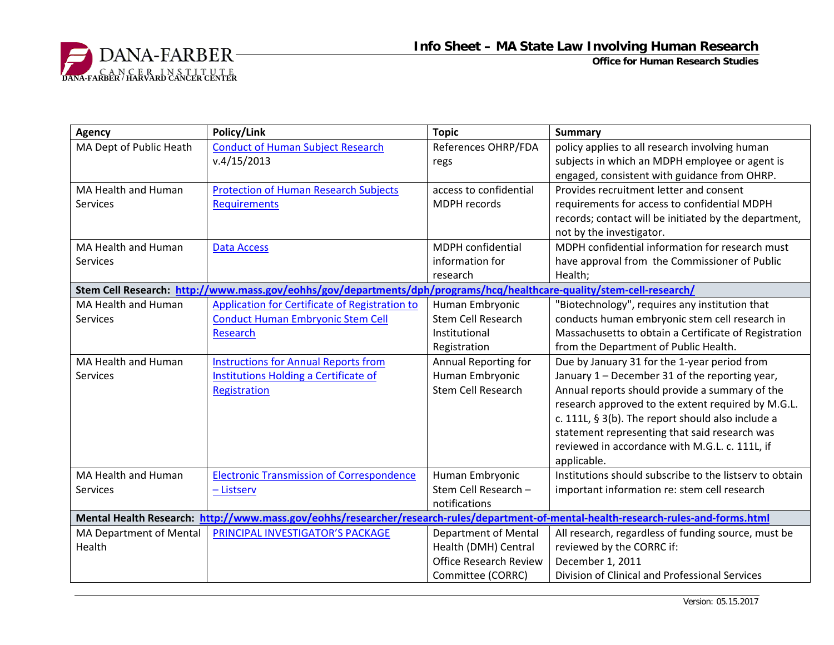

**Office for Human Research Studies**

| <b>Agency</b>                                                                                                                         | Policy/Link                                                                                                           | <b>Topic</b>                  | <b>Summary</b>                                          |
|---------------------------------------------------------------------------------------------------------------------------------------|-----------------------------------------------------------------------------------------------------------------------|-------------------------------|---------------------------------------------------------|
| MA Dept of Public Heath                                                                                                               | <b>Conduct of Human Subject Research</b>                                                                              | References OHRP/FDA           | policy applies to all research involving human          |
|                                                                                                                                       | v.4/15/2013                                                                                                           | regs                          | subjects in which an MDPH employee or agent is          |
|                                                                                                                                       |                                                                                                                       |                               | engaged, consistent with guidance from OHRP.            |
| <b>MA Health and Human</b>                                                                                                            | <b>Protection of Human Research Subjects</b>                                                                          | access to confidential        | Provides recruitment letter and consent                 |
| <b>Services</b>                                                                                                                       | <b>Requirements</b>                                                                                                   | <b>MDPH</b> records           | requirements for access to confidential MDPH            |
|                                                                                                                                       |                                                                                                                       |                               | records; contact will be initiated by the department,   |
|                                                                                                                                       |                                                                                                                       |                               | not by the investigator.                                |
| MA Health and Human                                                                                                                   | <b>Data Access</b>                                                                                                    | <b>MDPH</b> confidential      | MDPH confidential information for research must         |
| <b>Services</b>                                                                                                                       |                                                                                                                       | information for               | have approval from the Commissioner of Public           |
|                                                                                                                                       |                                                                                                                       | research                      | Health;                                                 |
|                                                                                                                                       | Stem Cell Research: http://www.mass.gov/eohhs/gov/departments/dph/programs/hcq/healthcare-quality/stem-cell-research/ |                               |                                                         |
| MA Health and Human                                                                                                                   | Application for Certificate of Registration to                                                                        | Human Embryonic               | "Biotechnology", requires any institution that          |
| Services                                                                                                                              | <b>Conduct Human Embryonic Stem Cell</b>                                                                              | <b>Stem Cell Research</b>     | conducts human embryonic stem cell research in          |
|                                                                                                                                       | <b>Research</b>                                                                                                       | Institutional                 | Massachusetts to obtain a Certificate of Registration   |
|                                                                                                                                       |                                                                                                                       | Registration                  | from the Department of Public Health.                   |
| MA Health and Human                                                                                                                   | <b>Instructions for Annual Reports from</b>                                                                           | Annual Reporting for          | Due by January 31 for the 1-year period from            |
| <b>Services</b>                                                                                                                       | Institutions Holding a Certificate of                                                                                 | Human Embryonic               | January 1 - December 31 of the reporting year,          |
|                                                                                                                                       | Registration                                                                                                          | <b>Stem Cell Research</b>     | Annual reports should provide a summary of the          |
|                                                                                                                                       |                                                                                                                       |                               | research approved to the extent required by M.G.L.      |
|                                                                                                                                       |                                                                                                                       |                               | c. 111L, § 3(b). The report should also include a       |
|                                                                                                                                       |                                                                                                                       |                               | statement representing that said research was           |
|                                                                                                                                       |                                                                                                                       |                               | reviewed in accordance with M.G.L. c. 111L, if          |
|                                                                                                                                       |                                                                                                                       |                               | applicable.                                             |
| MA Health and Human                                                                                                                   | <b>Electronic Transmission of Correspondence</b>                                                                      | Human Embryonic               | Institutions should subscribe to the listsery to obtain |
| <b>Services</b>                                                                                                                       | - Listserv                                                                                                            | Stem Cell Research -          | important information re: stem cell research            |
|                                                                                                                                       |                                                                                                                       | notifications                 |                                                         |
| Mental Health Research: http://www.mass.gov/eohhs/researcher/research-rules/department-of-mental-health-research-rules-and-forms.html |                                                                                                                       |                               |                                                         |
| MA Department of Mental                                                                                                               | PRINCIPAL INVESTIGATOR'S PACKAGE                                                                                      | Department of Mental          | All research, regardless of funding source, must be     |
| Health                                                                                                                                |                                                                                                                       | Health (DMH) Central          | reviewed by the CORRC if:                               |
|                                                                                                                                       |                                                                                                                       | <b>Office Research Review</b> | December 1, 2011                                        |
|                                                                                                                                       |                                                                                                                       | Committee (CORRC)             | Division of Clinical and Professional Services          |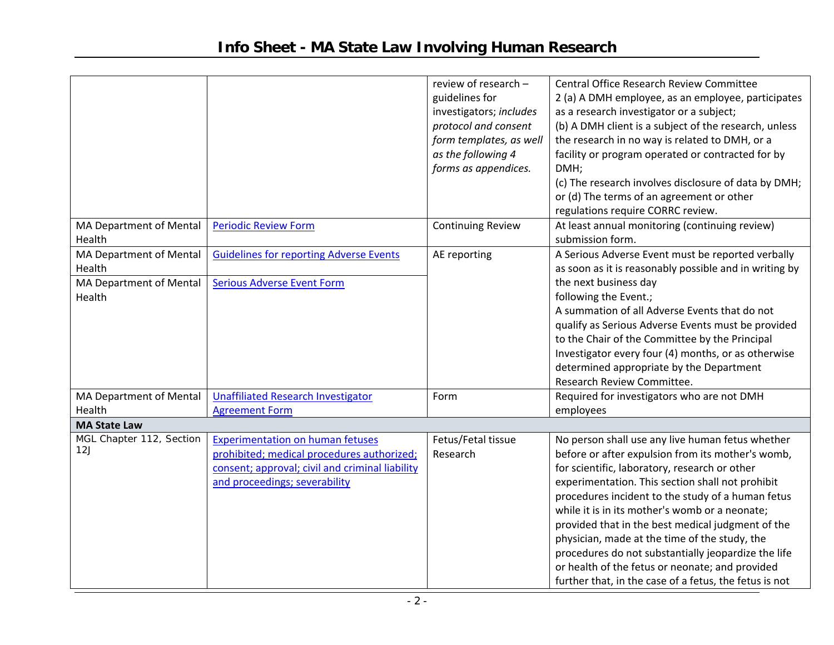|                                                                               |                                                                                                                                                                           | review of research -<br>guidelines for<br>investigators; includes<br>protocol and consent<br>form templates, as well<br>as the following 4<br>forms as appendices. | Central Office Research Review Committee<br>2 (a) A DMH employee, as an employee, participates<br>as a research investigator or a subject;<br>(b) A DMH client is a subject of the research, unless<br>the research in no way is related to DMH, or a<br>facility or program operated or contracted for by<br>DMH;<br>(c) The research involves disclosure of data by DMH;                                                                                                                                                                                                                  |
|-------------------------------------------------------------------------------|---------------------------------------------------------------------------------------------------------------------------------------------------------------------------|--------------------------------------------------------------------------------------------------------------------------------------------------------------------|---------------------------------------------------------------------------------------------------------------------------------------------------------------------------------------------------------------------------------------------------------------------------------------------------------------------------------------------------------------------------------------------------------------------------------------------------------------------------------------------------------------------------------------------------------------------------------------------|
|                                                                               |                                                                                                                                                                           |                                                                                                                                                                    | or (d) The terms of an agreement or other<br>regulations require CORRC review.                                                                                                                                                                                                                                                                                                                                                                                                                                                                                                              |
| MA Department of Mental<br>Health                                             | <b>Periodic Review Form</b>                                                                                                                                               | <b>Continuing Review</b>                                                                                                                                           | At least annual monitoring (continuing review)<br>submission form.                                                                                                                                                                                                                                                                                                                                                                                                                                                                                                                          |
| <b>MA Department of Mental</b><br>Health<br>MA Department of Mental<br>Health | <b>Guidelines for reporting Adverse Events</b><br><b>Serious Adverse Event Form</b>                                                                                       | AE reporting                                                                                                                                                       | A Serious Adverse Event must be reported verbally<br>as soon as it is reasonably possible and in writing by<br>the next business day<br>following the Event.;<br>A summation of all Adverse Events that do not<br>qualify as Serious Adverse Events must be provided<br>to the Chair of the Committee by the Principal<br>Investigator every four (4) months, or as otherwise<br>determined appropriate by the Department<br>Research Review Committee.                                                                                                                                     |
| MA Department of Mental<br>Health                                             | <b>Unaffiliated Research Investigator</b><br><b>Agreement Form</b>                                                                                                        | Form                                                                                                                                                               | Required for investigators who are not DMH<br>employees                                                                                                                                                                                                                                                                                                                                                                                                                                                                                                                                     |
| <b>MA State Law</b>                                                           |                                                                                                                                                                           |                                                                                                                                                                    |                                                                                                                                                                                                                                                                                                                                                                                                                                                                                                                                                                                             |
| MGL Chapter 112, Section<br>12J                                               | <b>Experimentation on human fetuses</b><br>prohibited; medical procedures authorized;<br>consent; approval; civil and criminal liability<br>and proceedings; severability | Fetus/Fetal tissue<br>Research                                                                                                                                     | No person shall use any live human fetus whether<br>before or after expulsion from its mother's womb,<br>for scientific, laboratory, research or other<br>experimentation. This section shall not prohibit<br>procedures incident to the study of a human fetus<br>while it is in its mother's womb or a neonate;<br>provided that in the best medical judgment of the<br>physician, made at the time of the study, the<br>procedures do not substantially jeopardize the life<br>or health of the fetus or neonate; and provided<br>further that, in the case of a fetus, the fetus is not |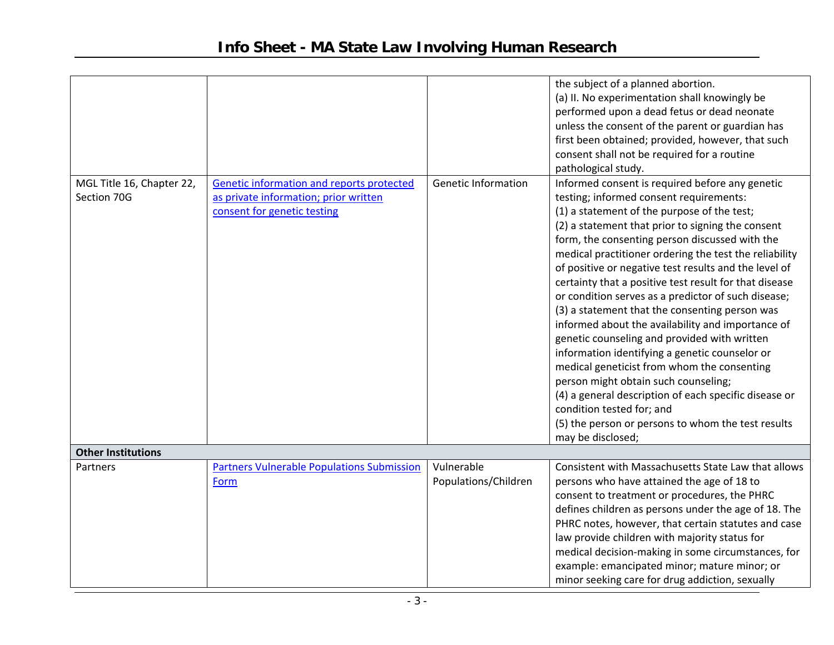|                           |                                                   |                            | the subject of a planned abortion.                     |
|---------------------------|---------------------------------------------------|----------------------------|--------------------------------------------------------|
|                           |                                                   |                            | (a) II. No experimentation shall knowingly be          |
|                           |                                                   |                            | performed upon a dead fetus or dead neonate            |
|                           |                                                   |                            | unless the consent of the parent or guardian has       |
|                           |                                                   |                            | first been obtained; provided, however, that such      |
|                           |                                                   |                            | consent shall not be required for a routine            |
|                           |                                                   |                            | pathological study.                                    |
| MGL Title 16, Chapter 22, | Genetic information and reports protected         | <b>Genetic Information</b> | Informed consent is required before any genetic        |
| Section 70G               | as private information; prior written             |                            | testing; informed consent requirements:                |
|                           | consent for genetic testing                       |                            | (1) a statement of the purpose of the test;            |
|                           |                                                   |                            | (2) a statement that prior to signing the consent      |
|                           |                                                   |                            | form, the consenting person discussed with the         |
|                           |                                                   |                            | medical practitioner ordering the test the reliability |
|                           |                                                   |                            | of positive or negative test results and the level of  |
|                           |                                                   |                            | certainty that a positive test result for that disease |
|                           |                                                   |                            | or condition serves as a predictor of such disease;    |
|                           |                                                   |                            | (3) a statement that the consenting person was         |
|                           |                                                   |                            | informed about the availability and importance of      |
|                           |                                                   |                            | genetic counseling and provided with written           |
|                           |                                                   |                            | information identifying a genetic counselor or         |
|                           |                                                   |                            | medical geneticist from whom the consenting            |
|                           |                                                   |                            | person might obtain such counseling;                   |
|                           |                                                   |                            | (4) a general description of each specific disease or  |
|                           |                                                   |                            | condition tested for; and                              |
|                           |                                                   |                            | (5) the person or persons to whom the test results     |
|                           |                                                   |                            | may be disclosed;                                      |
| <b>Other Institutions</b> |                                                   |                            |                                                        |
| Partners                  | <b>Partners Vulnerable Populations Submission</b> | Vulnerable                 | Consistent with Massachusetts State Law that allows    |
|                           | Form                                              | Populations/Children       | persons who have attained the age of 18 to             |
|                           |                                                   |                            | consent to treatment or procedures, the PHRC           |
|                           |                                                   |                            | defines children as persons under the age of 18. The   |
|                           |                                                   |                            | PHRC notes, however, that certain statutes and case    |
|                           |                                                   |                            | law provide children with majority status for          |
|                           |                                                   |                            | medical decision-making in some circumstances, for     |
|                           |                                                   |                            | example: emancipated minor; mature minor; or           |
|                           |                                                   |                            | minor seeking care for drug addiction, sexually        |
|                           |                                                   |                            |                                                        |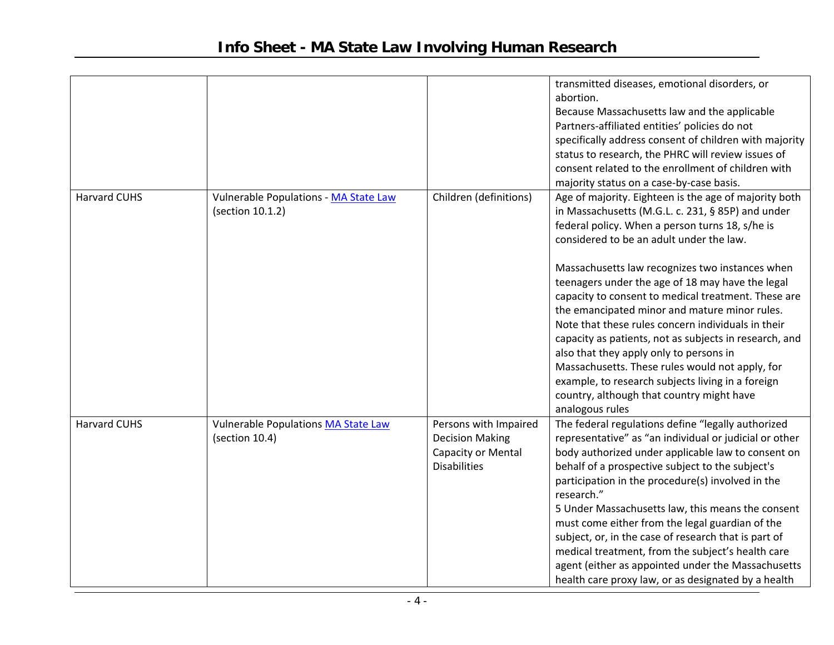|                     |                                       |                        | transmitted diseases, emotional disorders, or          |
|---------------------|---------------------------------------|------------------------|--------------------------------------------------------|
|                     |                                       |                        | abortion.                                              |
|                     |                                       |                        | Because Massachusetts law and the applicable           |
|                     |                                       |                        | Partners-affiliated entities' policies do not          |
|                     |                                       |                        | specifically address consent of children with majority |
|                     |                                       |                        | status to research, the PHRC will review issues of     |
|                     |                                       |                        | consent related to the enrollment of children with     |
|                     |                                       |                        | majority status on a case-by-case basis.               |
| <b>Harvard CUHS</b> | Vulnerable Populations - MA State Law | Children (definitions) | Age of majority. Eighteen is the age of majority both  |
|                     | (section 10.1.2)                      |                        | in Massachusetts (M.G.L. c. 231, § 85P) and under      |
|                     |                                       |                        | federal policy. When a person turns 18, s/he is        |
|                     |                                       |                        | considered to be an adult under the law.               |
|                     |                                       |                        | Massachusetts law recognizes two instances when        |
|                     |                                       |                        | teenagers under the age of 18 may have the legal       |
|                     |                                       |                        | capacity to consent to medical treatment. These are    |
|                     |                                       |                        | the emancipated minor and mature minor rules.          |
|                     |                                       |                        | Note that these rules concern individuals in their     |
|                     |                                       |                        | capacity as patients, not as subjects in research, and |
|                     |                                       |                        | also that they apply only to persons in                |
|                     |                                       |                        | Massachusetts. These rules would not apply, for        |
|                     |                                       |                        | example, to research subjects living in a foreign      |
|                     |                                       |                        | country, although that country might have              |
|                     |                                       |                        | analogous rules                                        |
| <b>Harvard CUHS</b> | Vulnerable Populations MA State Law   | Persons with Impaired  | The federal regulations define "legally authorized     |
|                     | (section 10.4)                        | <b>Decision Making</b> | representative" as "an individual or judicial or other |
|                     |                                       | Capacity or Mental     | body authorized under applicable law to consent on     |
|                     |                                       | <b>Disabilities</b>    | behalf of a prospective subject to the subject's       |
|                     |                                       |                        | participation in the procedure(s) involved in the      |
|                     |                                       |                        | research."                                             |
|                     |                                       |                        | 5 Under Massachusetts law, this means the consent      |
|                     |                                       |                        | must come either from the legal guardian of the        |
|                     |                                       |                        | subject, or, in the case of research that is part of   |
|                     |                                       |                        | medical treatment, from the subject's health care      |
|                     |                                       |                        | agent (either as appointed under the Massachusetts     |
|                     |                                       |                        | health care proxy law, or as designated by a health    |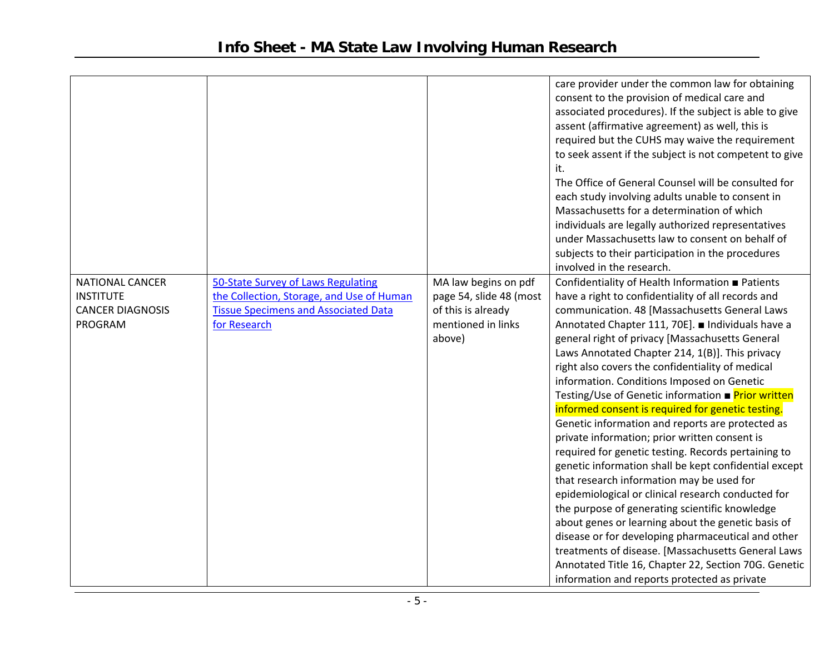| <b>NATIONAL CANCER</b><br><b>INSTITUTE</b><br><b>CANCER DIAGNOSIS</b><br>PROGRAM | 50-State Survey of Laws Regulating<br>the Collection, Storage, and Use of Human<br><b>Tissue Specimens and Associated Data</b><br>for Research | MA law begins on pdf<br>page 54, slide 48 (most<br>of this is already<br>mentioned in links<br>above) | care provider under the common law for obtaining<br>consent to the provision of medical care and<br>associated procedures). If the subject is able to give<br>assent (affirmative agreement) as well, this is<br>required but the CUHS may waive the requirement<br>to seek assent if the subject is not competent to give<br>it.<br>The Office of General Counsel will be consulted for<br>each study involving adults unable to consent in<br>Massachusetts for a determination of which<br>individuals are legally authorized representatives<br>under Massachusetts law to consent on behalf of<br>subjects to their participation in the procedures<br>involved in the research.<br>Confidentiality of Health Information ■ Patients<br>have a right to confidentiality of all records and<br>communication. 48 [Massachusetts General Laws<br>Annotated Chapter 111, 70E]. ■ Individuals have a<br>general right of privacy [Massachusetts General<br>Laws Annotated Chapter 214, 1(B)]. This privacy<br>right also covers the confidentiality of medical<br>information. Conditions Imposed on Genetic<br>Testing/Use of Genetic information ■ Prior written<br>informed consent is required for genetic testing.<br>Genetic information and reports are protected as<br>private information; prior written consent is<br>required for genetic testing. Records pertaining to<br>genetic information shall be kept confidential except<br>that research information may be used for<br>epidemiological or clinical research conducted for<br>the purpose of generating scientific knowledge<br>about genes or learning about the genetic basis of<br>disease or for developing pharmaceutical and other<br>treatments of disease. [Massachusetts General Laws |
|----------------------------------------------------------------------------------|------------------------------------------------------------------------------------------------------------------------------------------------|-------------------------------------------------------------------------------------------------------|----------------------------------------------------------------------------------------------------------------------------------------------------------------------------------------------------------------------------------------------------------------------------------------------------------------------------------------------------------------------------------------------------------------------------------------------------------------------------------------------------------------------------------------------------------------------------------------------------------------------------------------------------------------------------------------------------------------------------------------------------------------------------------------------------------------------------------------------------------------------------------------------------------------------------------------------------------------------------------------------------------------------------------------------------------------------------------------------------------------------------------------------------------------------------------------------------------------------------------------------------------------------------------------------------------------------------------------------------------------------------------------------------------------------------------------------------------------------------------------------------------------------------------------------------------------------------------------------------------------------------------------------------------------------------------------------------------------------------------------------------------------------|
|                                                                                  |                                                                                                                                                |                                                                                                       |                                                                                                                                                                                                                                                                                                                                                                                                                                                                                                                                                                                                                                                                                                                                                                                                                                                                                                                                                                                                                                                                                                                                                                                                                                                                                                                                                                                                                                                                                                                                                                                                                                                                                                                                                                      |
|                                                                                  |                                                                                                                                                |                                                                                                       |                                                                                                                                                                                                                                                                                                                                                                                                                                                                                                                                                                                                                                                                                                                                                                                                                                                                                                                                                                                                                                                                                                                                                                                                                                                                                                                                                                                                                                                                                                                                                                                                                                                                                                                                                                      |
|                                                                                  |                                                                                                                                                |                                                                                                       | Annotated Title 16, Chapter 22, Section 70G. Genetic                                                                                                                                                                                                                                                                                                                                                                                                                                                                                                                                                                                                                                                                                                                                                                                                                                                                                                                                                                                                                                                                                                                                                                                                                                                                                                                                                                                                                                                                                                                                                                                                                                                                                                                 |
|                                                                                  |                                                                                                                                                |                                                                                                       | information and reports protected as private                                                                                                                                                                                                                                                                                                                                                                                                                                                                                                                                                                                                                                                                                                                                                                                                                                                                                                                                                                                                                                                                                                                                                                                                                                                                                                                                                                                                                                                                                                                                                                                                                                                                                                                         |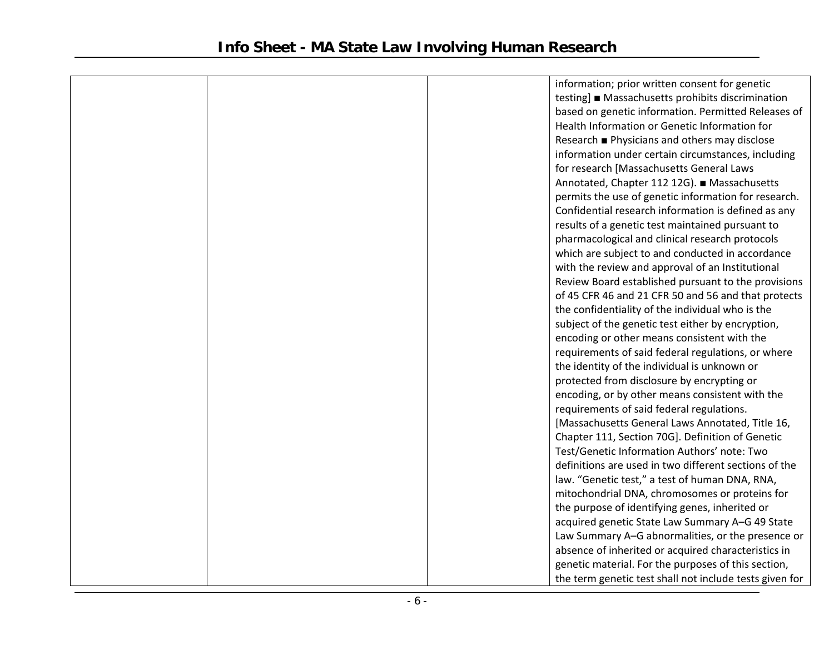|  | information; prior written consent for genetic          |
|--|---------------------------------------------------------|
|  | testing] ■ Massachusetts prohibits discrimination       |
|  | based on genetic information. Permitted Releases of     |
|  | Health Information or Genetic Information for           |
|  | Research ■ Physicians and others may disclose           |
|  | information under certain circumstances, including      |
|  | for research [Massachusetts General Laws                |
|  | Annotated, Chapter 112 12G). ■ Massachusetts            |
|  | permits the use of genetic information for research.    |
|  | Confidential research information is defined as any     |
|  | results of a genetic test maintained pursuant to        |
|  | pharmacological and clinical research protocols         |
|  | which are subject to and conducted in accordance        |
|  | with the review and approval of an Institutional        |
|  | Review Board established pursuant to the provisions     |
|  | of 45 CFR 46 and 21 CFR 50 and 56 and that protects     |
|  | the confidentiality of the individual who is the        |
|  | subject of the genetic test either by encryption,       |
|  | encoding or other means consistent with the             |
|  | requirements of said federal regulations, or where      |
|  | the identity of the individual is unknown or            |
|  | protected from disclosure by encrypting or              |
|  | encoding, or by other means consistent with the         |
|  | requirements of said federal regulations.               |
|  | [Massachusetts General Laws Annotated, Title 16,        |
|  | Chapter 111, Section 70G]. Definition of Genetic        |
|  | Test/Genetic Information Authors' note: Two             |
|  | definitions are used in two different sections of the   |
|  | law. "Genetic test," a test of human DNA, RNA,          |
|  | mitochondrial DNA, chromosomes or proteins for          |
|  | the purpose of identifying genes, inherited or          |
|  | acquired genetic State Law Summary A-G 49 State         |
|  | Law Summary A-G abnormalities, or the presence or       |
|  | absence of inherited or acquired characteristics in     |
|  | genetic material. For the purposes of this section,     |
|  | the term genetic test shall not include tests given for |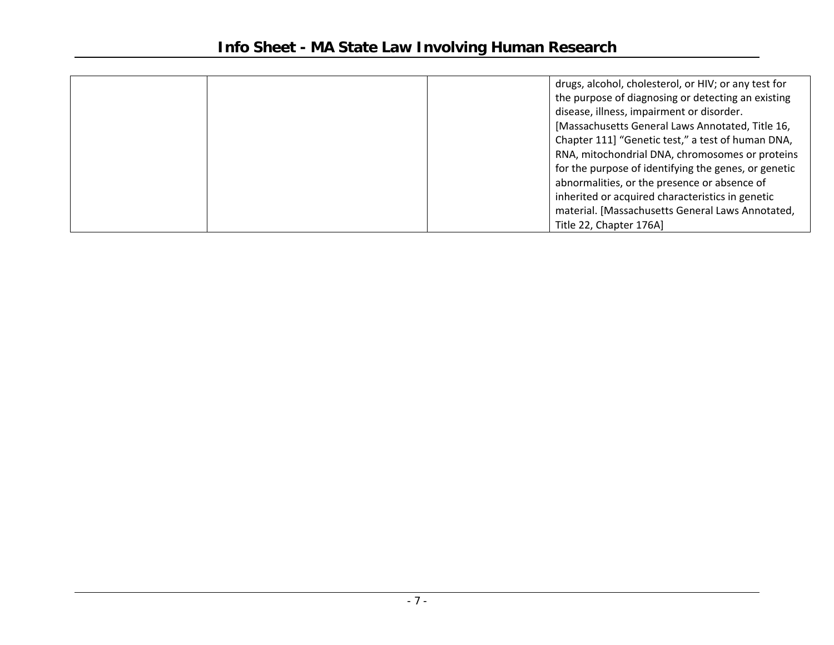| drugs, alcohol, cholesterol, or HIV; or any test for |
|------------------------------------------------------|
| the purpose of diagnosing or detecting an existing   |
| disease, illness, impairment or disorder.            |
| [Massachusetts General Laws Annotated, Title 16,     |
| Chapter 111] "Genetic test," a test of human DNA,    |
| RNA, mitochondrial DNA, chromosomes or proteins      |
| for the purpose of identifying the genes, or genetic |
| abnormalities, or the presence or absence of         |
| inherited or acquired characteristics in genetic     |
| material. [Massachusetts General Laws Annotated,     |
| Title 22, Chapter 176A]                              |
|                                                      |